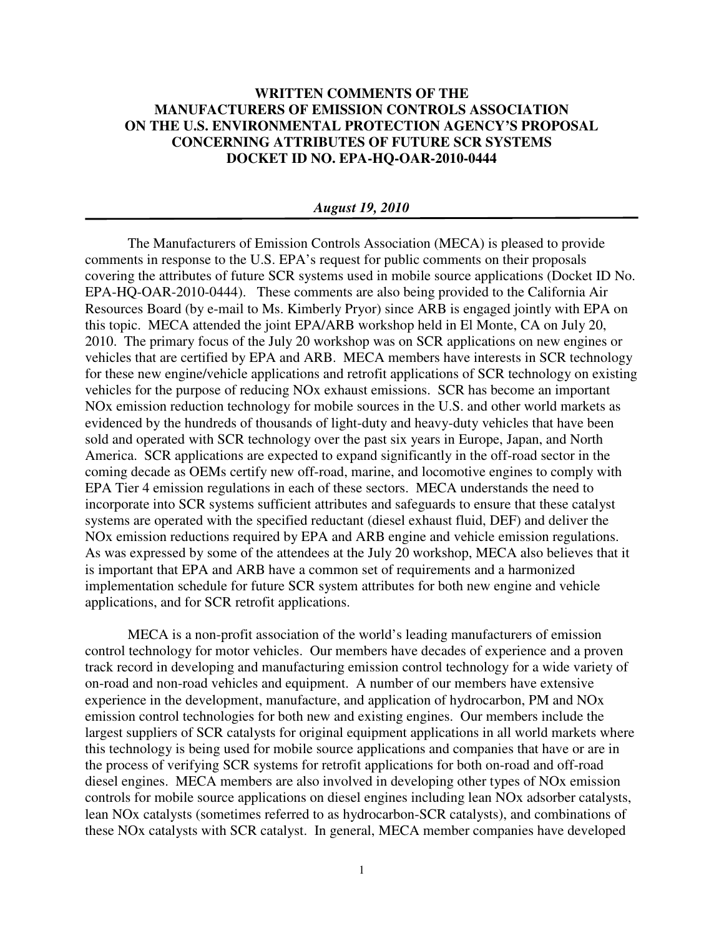## **WRITTEN COMMENTS OF THE MANUFACTURERS OF EMISSION CONTROLS ASSOCIATION ON THE U.S. ENVIRONMENTAL PROTECTION AGENCY'S PROPOSAL CONCERNING ATTRIBUTES OF FUTURE SCR SYSTEMS DOCKET ID NO. EPA-HQ-OAR-2010-0444**

## *August 19, 2010*

The Manufacturers of Emission Controls Association (MECA) is pleased to provide comments in response to the U.S. EPA's request for public comments on their proposals covering the attributes of future SCR systems used in mobile source applications (Docket ID No. EPA-HQ-OAR-2010-0444). These comments are also being provided to the California Air Resources Board (by e-mail to Ms. Kimberly Pryor) since ARB is engaged jointly with EPA on this topic. MECA attended the joint EPA/ARB workshop held in El Monte, CA on July 20, 2010. The primary focus of the July 20 workshop was on SCR applications on new engines or vehicles that are certified by EPA and ARB. MECA members have interests in SCR technology for these new engine/vehicle applications and retrofit applications of SCR technology on existing vehicles for the purpose of reducing NOx exhaust emissions. SCR has become an important NOx emission reduction technology for mobile sources in the U.S. and other world markets as evidenced by the hundreds of thousands of light-duty and heavy-duty vehicles that have been sold and operated with SCR technology over the past six years in Europe, Japan, and North America. SCR applications are expected to expand significantly in the off-road sector in the coming decade as OEMs certify new off-road, marine, and locomotive engines to comply with EPA Tier 4 emission regulations in each of these sectors. MECA understands the need to incorporate into SCR systems sufficient attributes and safeguards to ensure that these catalyst systems are operated with the specified reductant (diesel exhaust fluid, DEF) and deliver the NOx emission reductions required by EPA and ARB engine and vehicle emission regulations. As was expressed by some of the attendees at the July 20 workshop, MECA also believes that it is important that EPA and ARB have a common set of requirements and a harmonized implementation schedule for future SCR system attributes for both new engine and vehicle applications, and for SCR retrofit applications.

MECA is a non-profit association of the world's leading manufacturers of emission control technology for motor vehicles. Our members have decades of experience and a proven track record in developing and manufacturing emission control technology for a wide variety of on-road and non-road vehicles and equipment. A number of our members have extensive experience in the development, manufacture, and application of hydrocarbon, PM and NOx emission control technologies for both new and existing engines. Our members include the largest suppliers of SCR catalysts for original equipment applications in all world markets where this technology is being used for mobile source applications and companies that have or are in the process of verifying SCR systems for retrofit applications for both on-road and off-road diesel engines. MECA members are also involved in developing other types of NOx emission controls for mobile source applications on diesel engines including lean NOx adsorber catalysts, lean NOx catalysts (sometimes referred to as hydrocarbon-SCR catalysts), and combinations of these NOx catalysts with SCR catalyst. In general, MECA member companies have developed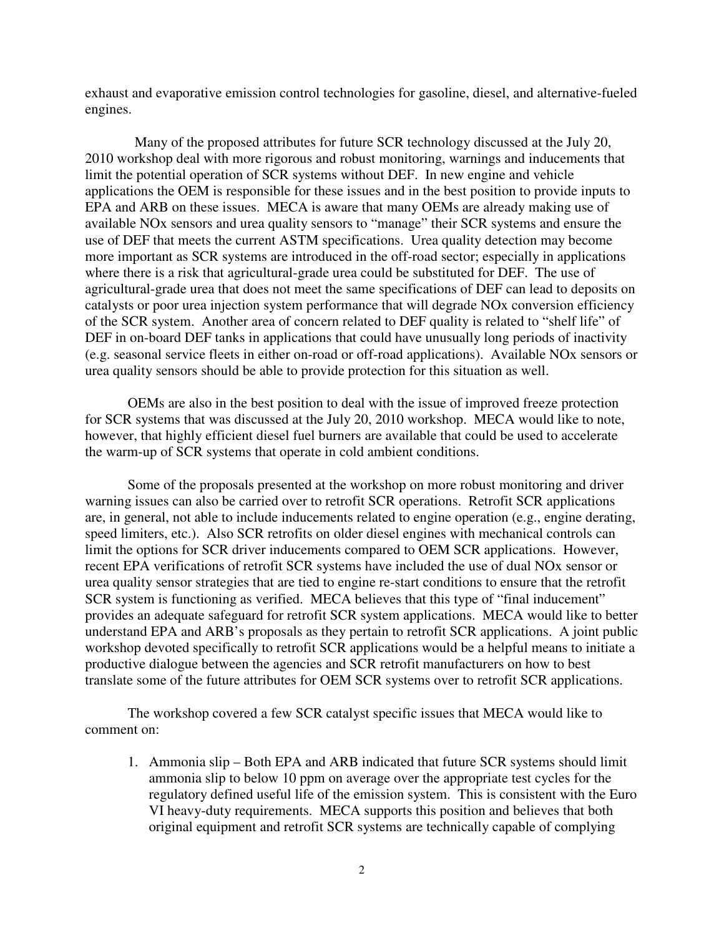exhaust and evaporative emission control technologies for gasoline, diesel, and alternative-fueled engines.

 Many of the proposed attributes for future SCR technology discussed at the July 20, 2010 workshop deal with more rigorous and robust monitoring, warnings and inducements that limit the potential operation of SCR systems without DEF. In new engine and vehicle applications the OEM is responsible for these issues and in the best position to provide inputs to EPA and ARB on these issues. MECA is aware that many OEMs are already making use of available NOx sensors and urea quality sensors to "manage" their SCR systems and ensure the use of DEF that meets the current ASTM specifications. Urea quality detection may become more important as SCR systems are introduced in the off-road sector; especially in applications where there is a risk that agricultural-grade urea could be substituted for DEF. The use of agricultural-grade urea that does not meet the same specifications of DEF can lead to deposits on catalysts or poor urea injection system performance that will degrade NOx conversion efficiency of the SCR system. Another area of concern related to DEF quality is related to "shelf life" of DEF in on-board DEF tanks in applications that could have unusually long periods of inactivity (e.g. seasonal service fleets in either on-road or off-road applications). Available NOx sensors or urea quality sensors should be able to provide protection for this situation as well.

OEMs are also in the best position to deal with the issue of improved freeze protection for SCR systems that was discussed at the July 20, 2010 workshop. MECA would like to note, however, that highly efficient diesel fuel burners are available that could be used to accelerate the warm-up of SCR systems that operate in cold ambient conditions.

Some of the proposals presented at the workshop on more robust monitoring and driver warning issues can also be carried over to retrofit SCR operations. Retrofit SCR applications are, in general, not able to include inducements related to engine operation (e.g., engine derating, speed limiters, etc.). Also SCR retrofits on older diesel engines with mechanical controls can limit the options for SCR driver inducements compared to OEM SCR applications. However, recent EPA verifications of retrofit SCR systems have included the use of dual NOx sensor or urea quality sensor strategies that are tied to engine re-start conditions to ensure that the retrofit SCR system is functioning as verified. MECA believes that this type of "final inducement" provides an adequate safeguard for retrofit SCR system applications. MECA would like to better understand EPA and ARB's proposals as they pertain to retrofit SCR applications. A joint public workshop devoted specifically to retrofit SCR applications would be a helpful means to initiate a productive dialogue between the agencies and SCR retrofit manufacturers on how to best translate some of the future attributes for OEM SCR systems over to retrofit SCR applications.

The workshop covered a few SCR catalyst specific issues that MECA would like to comment on:

1. Ammonia slip – Both EPA and ARB indicated that future SCR systems should limit ammonia slip to below 10 ppm on average over the appropriate test cycles for the regulatory defined useful life of the emission system. This is consistent with the Euro VI heavy-duty requirements. MECA supports this position and believes that both original equipment and retrofit SCR systems are technically capable of complying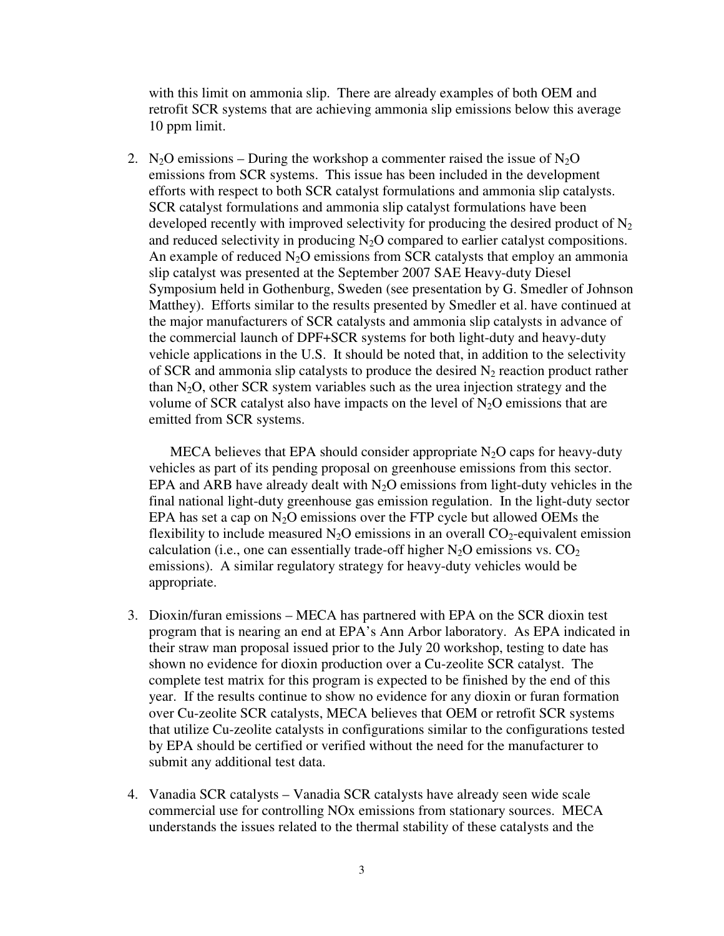with this limit on ammonia slip. There are already examples of both OEM and retrofit SCR systems that are achieving ammonia slip emissions below this average 10 ppm limit.

2. N<sub>2</sub>O emissions – During the workshop a commenter raised the issue of N<sub>2</sub>O emissions from SCR systems. This issue has been included in the development efforts with respect to both SCR catalyst formulations and ammonia slip catalysts. SCR catalyst formulations and ammonia slip catalyst formulations have been developed recently with improved selectivity for producing the desired product of  $N_2$ and reduced selectivity in producing  $N_2O$  compared to earlier catalyst compositions. An example of reduced  $N_2O$  emissions from SCR catalysts that employ an ammonia slip catalyst was presented at the September 2007 SAE Heavy-duty Diesel Symposium held in Gothenburg, Sweden (see presentation by G. Smedler of Johnson Matthey). Efforts similar to the results presented by Smedler et al. have continued at the major manufacturers of SCR catalysts and ammonia slip catalysts in advance of the commercial launch of DPF+SCR systems for both light-duty and heavy-duty vehicle applications in the U.S. It should be noted that, in addition to the selectivity of SCR and ammonia slip catalysts to produce the desired  $N_2$  reaction product rather than  $N_2O$ , other SCR system variables such as the urea injection strategy and the volume of SCR catalyst also have impacts on the level of  $N_2O$  emissions that are emitted from SCR systems.

MECA believes that EPA should consider appropriate  $N_2O$  caps for heavy-duty vehicles as part of its pending proposal on greenhouse emissions from this sector. EPA and ARB have already dealt with  $N_2O$  emissions from light-duty vehicles in the final national light-duty greenhouse gas emission regulation. In the light-duty sector EPA has set a cap on  $N_2O$  emissions over the FTP cycle but allowed OEMs the flexibility to include measured  $N_2O$  emissions in an overall  $CO_2$ -equivalent emission calculation (i.e., one can essentially trade-off higher  $N_2O$  emissions vs.  $CO_2$ emissions). A similar regulatory strategy for heavy-duty vehicles would be appropriate.

- 3. Dioxin/furan emissions MECA has partnered with EPA on the SCR dioxin test program that is nearing an end at EPA's Ann Arbor laboratory. As EPA indicated in their straw man proposal issued prior to the July 20 workshop, testing to date has shown no evidence for dioxin production over a Cu-zeolite SCR catalyst. The complete test matrix for this program is expected to be finished by the end of this year. If the results continue to show no evidence for any dioxin or furan formation over Cu-zeolite SCR catalysts, MECA believes that OEM or retrofit SCR systems that utilize Cu-zeolite catalysts in configurations similar to the configurations tested by EPA should be certified or verified without the need for the manufacturer to submit any additional test data.
- 4. Vanadia SCR catalysts Vanadia SCR catalysts have already seen wide scale commercial use for controlling NOx emissions from stationary sources. MECA understands the issues related to the thermal stability of these catalysts and the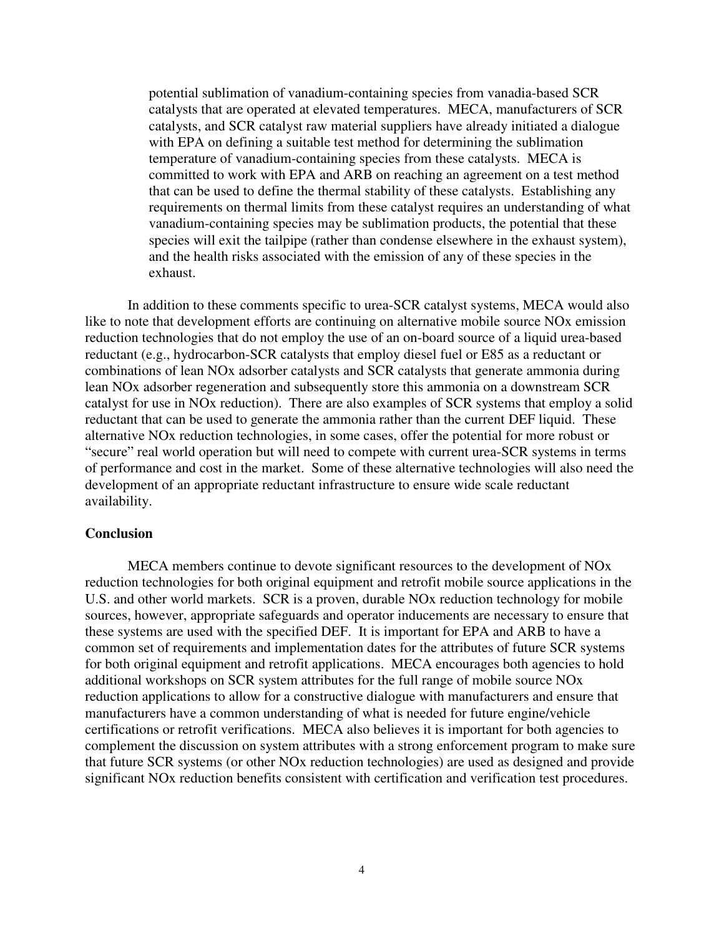potential sublimation of vanadium-containing species from vanadia-based SCR catalysts that are operated at elevated temperatures. MECA, manufacturers of SCR catalysts, and SCR catalyst raw material suppliers have already initiated a dialogue with EPA on defining a suitable test method for determining the sublimation temperature of vanadium-containing species from these catalysts. MECA is committed to work with EPA and ARB on reaching an agreement on a test method that can be used to define the thermal stability of these catalysts. Establishing any requirements on thermal limits from these catalyst requires an understanding of what vanadium-containing species may be sublimation products, the potential that these species will exit the tailpipe (rather than condense elsewhere in the exhaust system), and the health risks associated with the emission of any of these species in the exhaust.

 In addition to these comments specific to urea-SCR catalyst systems, MECA would also like to note that development efforts are continuing on alternative mobile source NOx emission reduction technologies that do not employ the use of an on-board source of a liquid urea-based reductant (e.g., hydrocarbon-SCR catalysts that employ diesel fuel or E85 as a reductant or combinations of lean NOx adsorber catalysts and SCR catalysts that generate ammonia during lean NOx adsorber regeneration and subsequently store this ammonia on a downstream SCR catalyst for use in NOx reduction). There are also examples of SCR systems that employ a solid reductant that can be used to generate the ammonia rather than the current DEF liquid. These alternative NOx reduction technologies, in some cases, offer the potential for more robust or "secure" real world operation but will need to compete with current urea-SCR systems in terms of performance and cost in the market. Some of these alternative technologies will also need the development of an appropriate reductant infrastructure to ensure wide scale reductant availability.

## **Conclusion**

 MECA members continue to devote significant resources to the development of NOx reduction technologies for both original equipment and retrofit mobile source applications in the U.S. and other world markets. SCR is a proven, durable NOx reduction technology for mobile sources, however, appropriate safeguards and operator inducements are necessary to ensure that these systems are used with the specified DEF. It is important for EPA and ARB to have a common set of requirements and implementation dates for the attributes of future SCR systems for both original equipment and retrofit applications. MECA encourages both agencies to hold additional workshops on SCR system attributes for the full range of mobile source NOx reduction applications to allow for a constructive dialogue with manufacturers and ensure that manufacturers have a common understanding of what is needed for future engine/vehicle certifications or retrofit verifications. MECA also believes it is important for both agencies to complement the discussion on system attributes with a strong enforcement program to make sure that future SCR systems (or other NOx reduction technologies) are used as designed and provide significant NOx reduction benefits consistent with certification and verification test procedures.